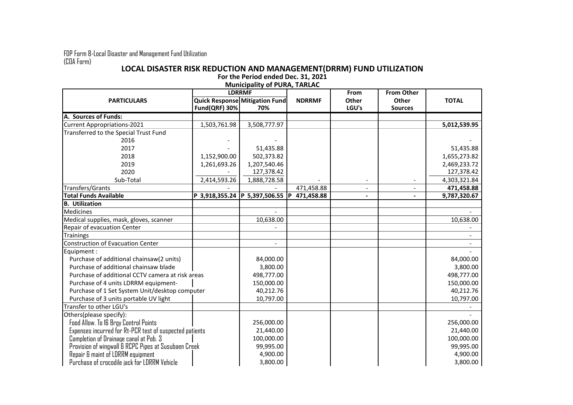FDP Form 8-Local Disaster and Management Fund Utilization (COA Form)

## **LOCAL DISASTER RISK REDUCTION AND MANAGEMENT(DRRM) FUND UTILIZATION For the Period ended Dec. 31, 2021**

|                                                         | <b>IVIUIIICIDAIILY OF PURA, TARLAC</b><br><b>LDRRMF</b> |                                              |                   | From                         | <b>From Other</b>       |              |
|---------------------------------------------------------|---------------------------------------------------------|----------------------------------------------|-------------------|------------------------------|-------------------------|--------------|
| <b>PARTICULARS</b>                                      | Fund(QRF) 30%                                           | <b>Quick Response Mitigation Fund</b><br>70% | <b>NDRRMF</b>     | Other<br>LGU's               | Other<br><b>Sources</b> | <b>TOTAL</b> |
| A. Sources of Funds:                                    |                                                         |                                              |                   |                              |                         |              |
| Current Appropriations-2021                             | 1,503,761.98                                            | 3,508,777.97                                 |                   |                              |                         | 5,012,539.95 |
| Transferred to the Special Trust Fund                   |                                                         |                                              |                   |                              |                         |              |
| 2016                                                    |                                                         |                                              |                   |                              |                         |              |
| 2017                                                    |                                                         | 51,435.88                                    |                   |                              |                         | 51,435.88    |
| 2018                                                    | 1,152,900.00                                            | 502,373.82                                   |                   |                              |                         | 1,655,273.82 |
| 2019                                                    | 1,261,693.26                                            | 1,207,540.46                                 |                   |                              |                         | 2,469,233.72 |
| 2020                                                    |                                                         | 127,378.42                                   |                   |                              |                         | 127,378.42   |
| Sub-Total                                               | 2,414,593.26                                            | 1,888,728.58                                 |                   |                              |                         | 4,303,321.84 |
| Transfers/Grants                                        |                                                         |                                              | 471,458.88        | $\qquad \qquad \blacksquare$ |                         | 471,458.88   |
| <b>Total Funds Available</b>                            |                                                         | P 3,918,355.24  P 5,397,506.55               | 471,458.88<br>l P | $\blacksquare$               |                         | 9,787,320.67 |
| <b>B.</b> Utilization                                   |                                                         |                                              |                   |                              |                         |              |
| Medicines                                               |                                                         |                                              |                   |                              |                         |              |
| Medical supplies, mask, gloves, scanner                 |                                                         | 10,638.00                                    |                   |                              |                         | 10,638.00    |
| Repair of evacuation Center                             |                                                         |                                              |                   |                              |                         |              |
| <b>Trainings</b>                                        |                                                         |                                              |                   |                              |                         |              |
| Construction of Evacuation Center                       |                                                         |                                              |                   |                              |                         |              |
| Equipment :                                             |                                                         |                                              |                   |                              |                         |              |
| Purchase of additional chainsaw(2 units)                |                                                         | 84,000.00                                    |                   |                              |                         | 84,000.00    |
| Purchase of additional chainsaw blade                   |                                                         | 3,800.00                                     |                   |                              |                         | 3,800.00     |
| Purchase of additional CCTV camera at risk areas        |                                                         | 498,777.00                                   |                   |                              |                         | 498,777.00   |
| Purchase of 4 units LDRRM equipment-                    |                                                         | 150,000.00                                   |                   |                              |                         | 150,000.00   |
| Purchase of 1 Set System Unit/desktop computer          |                                                         | 40,212.76                                    |                   |                              |                         | 40,212.76    |
| Purchase of 3 units portable UV light                   |                                                         | 10,797.00                                    |                   |                              |                         | 10,797.00    |
| Transfer to other LGU's                                 |                                                         |                                              |                   |                              |                         |              |
| Others(please specify):                                 |                                                         |                                              |                   |                              |                         |              |
| Food Allow. To 16 Brgy Control Points                   |                                                         | 256,000.00                                   |                   |                              |                         | 256,000.00   |
| Expenses incurred for Rt-PCR test of suspected patients |                                                         | 21,440.00                                    |                   |                              |                         | 21,440.00    |
| Completion of Drainage canal at Pob. 3                  |                                                         | 100,000.00                                   |                   |                              |                         | 100,000.00   |
| Provision of wingwall & RCPC Pipes at Susubaen Creek    |                                                         | 99,995.00                                    |                   |                              |                         | 99,995.00    |
| Repair & maint of LDRRM equipment                       |                                                         | 4,900.00                                     |                   |                              |                         | 4,900.00     |
| Purchase of crocodile jack for LDRRM Vehicle            |                                                         | 3,800.00                                     |                   |                              |                         | 3,800.00     |

## **Municipality of PURA, TARLAC**